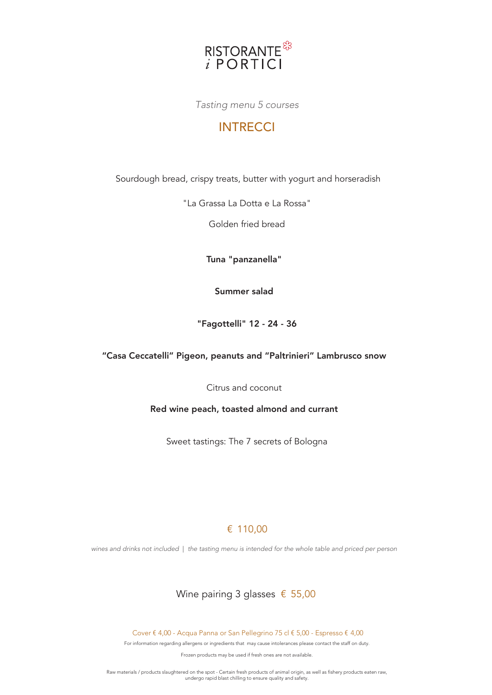

Tasting menu 5 courses

# **INTRECCI**

Sourdough bread, crispy treats, butter with yogurt and horseradish

"La Grassa La Dotta e La Rossa"

Golden fried bread

Tuna "panzanella"

Summer salad

"Fagottelli" 12 - 24 - 36

"Casa Ceccatelli" Pigeon, peanuts and "Paltrinieri" Lambrusco snow

Citrus and coconut

Red wine peach, toasted almond and currant

Sweet tastings: The 7 secrets of Bologna

## € 110,00

wines and drinks not included | the tasting menu is intended for the whole table and priced per person

# Wine pairing 3 glasses € 55,00

Cover € 4,00 - Acqua Panna or San Pellegrino 75 cl € 5,00 - Espresso € 4,00

For information regarding allergens or ingredients that may cause intolerances please contact the staff on duty.

Frozen products may be used if fresh ones are not available.

Raw materials / products slaughtered on the spot - Certain fresh products of animal origin, as well as fishery products eaten raw, undergo rapid blast chilling to ensure quality and safety.